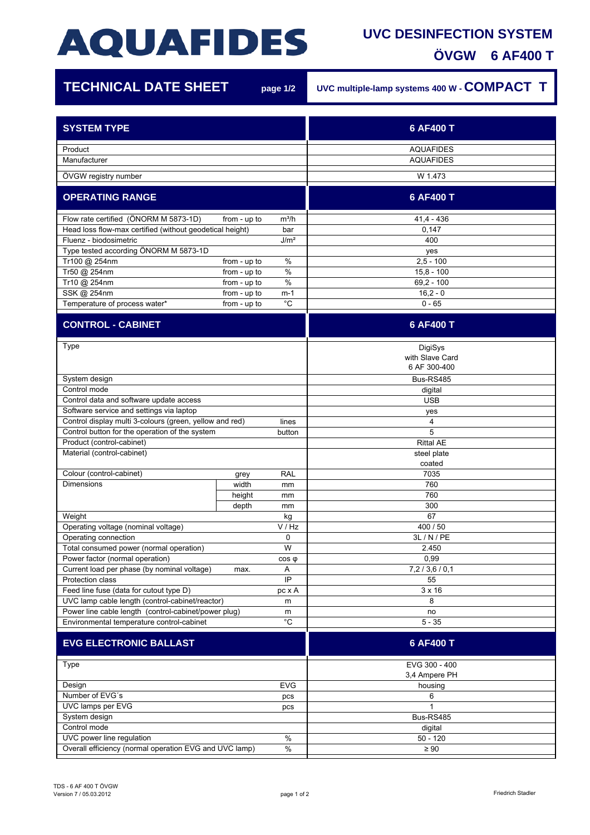## **AQUAFIDES**

## **UVC DESINFECTION SYSTEM**

| <b>OVGW</b> | 6 AF400 T |  |
|-------------|-----------|--|
|             |           |  |

ī

| <b>TECHNICAL DATE SHEET</b>                              | page 1/2                          | UVC multiple-lamp systems 400 W - COMPACT T |
|----------------------------------------------------------|-----------------------------------|---------------------------------------------|
| <b>SYSTEM TYPE</b>                                       |                                   | 6 AF400 T                                   |
| Product<br>Manufacturer                                  |                                   | <b>AQUAFIDES</b><br><b>AQUAFIDES</b>        |
| ÖVGW registry number                                     |                                   | W 1.473                                     |
| <b>OPERATING RANGE</b>                                   |                                   | 6 AF400 T                                   |
| Flow rate certified (ÖNORM M 5873-1D)                    | from - up to<br>$m^3/h$           | $41,4 - 436$                                |
| Head loss flow-max certified (without geodetical height) | bar                               | 0,147                                       |
| Fluenz - biodosimetric                                   | J/m <sup>2</sup>                  | 400                                         |
| Type tested according ÖNORM M 5873-1D                    |                                   | yes                                         |
| Tr100 @ 254nm                                            | $\%$<br>from - up to              | $2,5 - 100$                                 |
| Tr50 @ 254nm                                             | $\frac{0}{0}$<br>from - up to     | $15.8 - 100$                                |
| Tr10 @ 254nm                                             | $\%$<br>from - up to              | $69,2 - 100$                                |
| SSK @ 254nm                                              | from - up to<br>m-1               | $16,2 - 0$                                  |
| Temperature of process water*                            | $^{\circ}{\rm C}$<br>from - up to | $0 - 65$                                    |
| <b>CONTROL - CABINET</b>                                 |                                   | 6 AF400 T                                   |
| Type                                                     |                                   | DigiSys<br>with Slave Card<br>6 AF 300-400  |
| System design                                            |                                   | Bus-RS485                                   |
| Control mode                                             |                                   | digital                                     |
| Control data and software update access                  |                                   | <b>USB</b>                                  |
| Software service and settings via laptop                 |                                   | yes                                         |
| Control display multi 3-colours (green, yellow and red)  | lines                             | 4                                           |
| Control button for the operation of the system           | button                            | 5                                           |
| Product (control-cabinet)                                |                                   | <b>Rittal AE</b>                            |
| Material (control-cabinet)                               |                                   | steel plate                                 |
|                                                          |                                   | coated                                      |
| Colour (control-cabinet)                                 | <b>RAL</b><br>grey                | 7035                                        |
| <b>Dimensions</b>                                        | width<br>mm                       | 760                                         |
|                                                          | height<br>mm                      | 760                                         |
|                                                          | depth<br>mm                       | 300                                         |
| Weight                                                   | kg                                | 67                                          |
| Operating voltage (nominal voltage)                      | V / Hz                            | 400 / 50                                    |
| Operating connection                                     | 0                                 | 3L / N / PE                                 |
| Total consumed power (normal operation)                  | W                                 | 2.450                                       |
| Power factor (normal operation)                          | $cos \varphi$                     | 0,99                                        |
| Current load per phase (by nominal voltage)<br>A<br>max. |                                   | 7,2/3,6/0,1                                 |
| Protection class<br>IP                                   |                                   | 55                                          |
| Feed line fuse (data for cutout type D)                  | pc x A                            | $3 \times 16$                               |
| UVC lamp cable length (control-cabinet/reactor)          | m                                 | 8                                           |
| Power line cable length (control-cabinet/power plug)     | m                                 | no                                          |
| Environmental temperature control-cabinet                | $^{\circ}$ C                      | $5 - 35$                                    |
| <b>EVG ELECTRONIC BALLAST</b>                            |                                   | 6 AF400 T                                   |
| Type                                                     |                                   | EVG 300 - 400                               |
| Design                                                   | <b>EVG</b>                        | 3,4 Ampere PH                               |
| Number of EVG's                                          |                                   | housing<br>6                                |
| UVC lamps per EVG                                        | pcs                               | 1                                           |
| System design                                            | pcs                               | Bus-RS485                                   |
| Control mode                                             |                                   | digital                                     |
| UVC power line regulation                                | $\%$                              | $50 - 120$                                  |
| Overall efficiency (normal operation EVG and UVC lamp)   | $\%$                              | $\geq 90$                                   |
|                                                          |                                   |                                             |